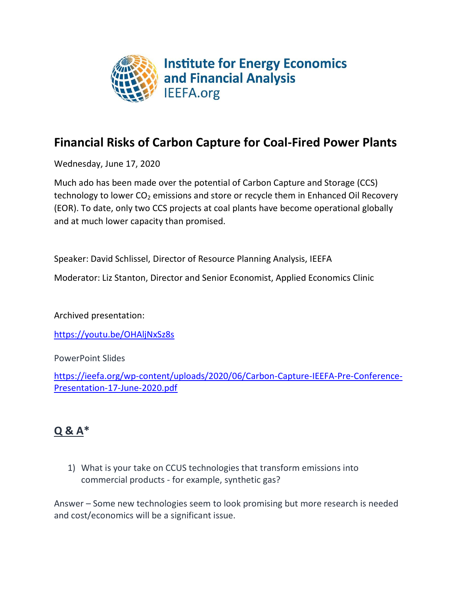

## **Financial Risks of Carbon Capture for Coal-Fired Power Plants**

Wednesday, June 17, 2020

Much ado has been made over the potential of Carbon Capture and Storage (CCS) technology to lower  $CO<sub>2</sub>$  emissions and store or recycle them in Enhanced Oil Recovery (EOR). To date, only two CCS projects at coal plants have become operational globally and at much lower capacity than promised.

Speaker: David Schlissel, Director of Resource Planning Analysis, IEEFA

Moderator: Liz Stanton, Director and Senior Economist, Applied Economics Clinic

Archived presentation:

<https://youtu.be/OHAljNxSz8s>

PowerPoint Slides

[https://ieefa.org/wp-content/uploads/2020/06/Carbon-Capture-IEEFA-Pre-Conference-](https://ieefa.org/wp-content/uploads/2020/06/Carbon-Capture-IEEFA-Pre-Conference-Presentation-17-June-2020.pdf)[Presentation-17-June-2020.pdf](https://ieefa.org/wp-content/uploads/2020/06/Carbon-Capture-IEEFA-Pre-Conference-Presentation-17-June-2020.pdf)

## **Q & A\***

1) What is your take on CCUS technologies that transform emissions into commercial products - for example, synthetic gas?

Answer – Some new technologies seem to look promising but more research is needed and cost/economics will be a significant issue.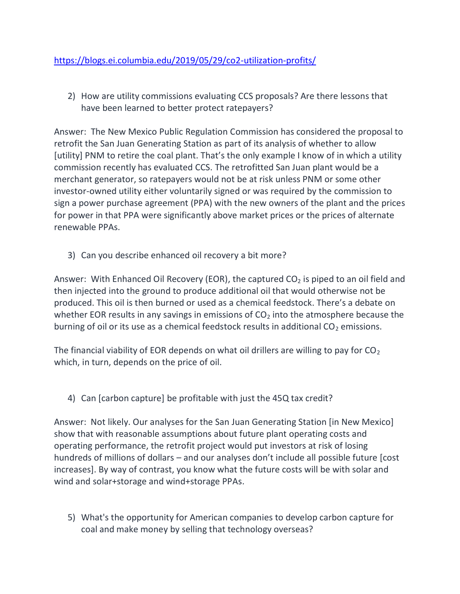2) How are utility commissions evaluating CCS proposals? Are there lessons that have been learned to better protect ratepayers?

Answer: The New Mexico Public Regulation Commission has considered the proposal to retrofit the San Juan Generating Station as part of its analysis of whether to allow [utility] PNM to retire the coal plant. That's the only example I know of in which a utility commission recently has evaluated CCS. The retrofitted San Juan plant would be a merchant generator, so ratepayers would not be at risk unless PNM or some other investor-owned utility either voluntarily signed or was required by the commission to sign a power purchase agreement (PPA) with the new owners of the plant and the prices for power in that PPA were significantly above market prices or the prices of alternate renewable PPAs.

3) Can you describe enhanced oil recovery a bit more?

Answer: With Enhanced Oil Recovery (EOR), the captured  $CO<sub>2</sub>$  is piped to an oil field and then injected into the ground to produce additional oil that would otherwise not be produced. This oil is then burned or used as a chemical feedstock. There's a debate on whether EOR results in any savings in emissions of  $CO<sub>2</sub>$  into the atmosphere because the burning of oil or its use as a chemical feedstock results in additional  $CO<sub>2</sub>$  emissions.

The financial viability of EOR depends on what oil drillers are willing to pay for  $CO<sub>2</sub>$ which, in turn, depends on the price of oil.

4) Can [carbon capture] be profitable with just the 45Q tax credit?

Answer: Not likely. Our analyses for the San Juan Generating Station [in New Mexico] show that with reasonable assumptions about future plant operating costs and operating performance, the retrofit project would put investors at risk of losing hundreds of millions of dollars – and our analyses don't include all possible future [cost increases]. By way of contrast, you know what the future costs will be with solar and wind and solar+storage and wind+storage PPAs.

5) What's the opportunity for American companies to develop carbon capture for coal and make money by selling that technology overseas?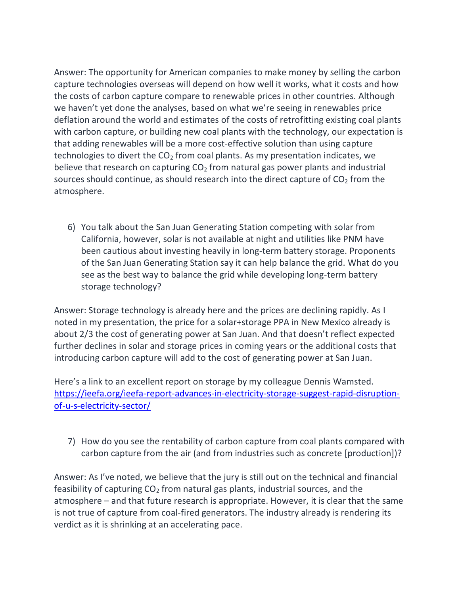Answer: The opportunity for American companies to make money by selling the carbon capture technologies overseas will depend on how well it works, what it costs and how the costs of carbon capture compare to renewable prices in other countries. Although we haven't yet done the analyses, based on what we're seeing in renewables price deflation around the world and estimates of the costs of retrofitting existing coal plants with carbon capture, or building new coal plants with the technology, our expectation is that adding renewables will be a more cost-effective solution than using capture technologies to divert the  $CO<sub>2</sub>$  from coal plants. As my presentation indicates, we believe that research on capturing  $CO<sub>2</sub>$  from natural gas power plants and industrial sources should continue, as should research into the direct capture of  $CO<sub>2</sub>$  from the atmosphere.

6) You talk about the San Juan Generating Station competing with solar from California, however, solar is not available at night and utilities like PNM have been cautious about investing heavily in long-term battery storage. Proponents of the San Juan Generating Station say it can help balance the grid. What do you see as the best way to balance the grid while developing long-term battery storage technology?

Answer: Storage technology is already here and the prices are declining rapidly. As I noted in my presentation, the price for a solar+storage PPA in New Mexico already is about 2/3 the cost of generating power at San Juan. And that doesn't reflect expected further declines in solar and storage prices in coming years or the additional costs that introducing carbon capture will add to the cost of generating power at San Juan.

Here's a link to an excellent report on storage by my colleague Dennis Wamsted. [https://ieefa.org/ieefa-report-advances-in-electricity-storage-suggest-rapid-disruption](https://ieefa.org/ieefa-report-advances-in-electricity-storage-suggest-rapid-disruption-of-u-s-electricity-sector/)[of-u-s-electricity-sector/](https://ieefa.org/ieefa-report-advances-in-electricity-storage-suggest-rapid-disruption-of-u-s-electricity-sector/)

7) How do you see the rentability of carbon capture from coal plants compared with carbon capture from the air (and from industries such as concrete [production])?

Answer: As I've noted, we believe that the jury is still out on the technical and financial feasibility of capturing  $CO<sub>2</sub>$  from natural gas plants, industrial sources, and the atmosphere – and that future research is appropriate. However, it is clear that the same is not true of capture from coal-fired generators. The industry already is rendering its verdict as it is shrinking at an accelerating pace.